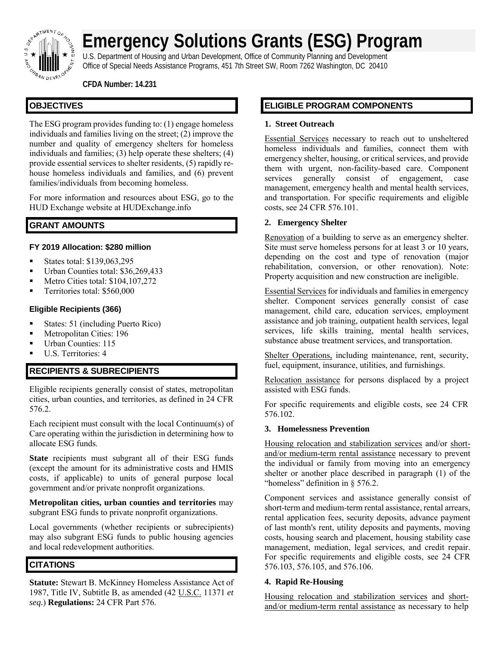

# **Emergency Solutions Grants (ESG) Program**

U.S. Department of Housing and Urban Development, Office of Community Planning and Development Office of Special Needs Assistance Programs, 451 7th Street SW, Room 7262 Washington, DC 20410

**CFDA Number: 14.231**

# **OBJECTIVES**

The ESG program provides funding to: (1) engage homeless individuals and families living on the street; (2) improve the number and quality of emergency shelters for homeless individuals and families; (3) help operate these shelters; (4) provide essential services to shelter residents, (5) rapidly rehouse homeless individuals and families, and (6) prevent families/individuals from becoming homeless.

For more information and resources about ESG, go to the HUD Exchange website at HUDExchange.info

# **GRANT AMOUNTS**

## **FY 2019 Allocation: \$280 million**

- States total: \$139,063,295
- Urban Counties total: \$36,269,433
- Metro Cities total: \$104,107,272
- **Territories total: \$560,000**

#### **Eligible Recipients (366)**

- States: 51 (including Puerto Rico)
- Metropolitan Cities: 196
- **Urban Counties: 115**
- U.S. Territories: 4

## **RECIPIENTS & SUBRECIPIENTS**

Eligible recipients generally consist of states, metropolitan cities, urban counties, and territories, as defined in 24 CFR 576.2.

Each recipient must consult with the local Continuum(s) of Care operating within the jurisdiction in determining how to allocate ESG funds.

**State** recipients must subgrant all of their ESG funds (except the amount for its administrative costs and HMIS costs, if applicable) to units of general purpose local government and/or private nonprofit organizations.

**Metropolitan cities, urban counties and territories** may subgrant ESG funds to private nonprofit organizations.

Local governments (whether recipients or subrecipients) may also subgrant ESG funds to public housing agencies and local redevelopment authorities.

## **CITATIONS**

**Statute:** Stewart B. McKinney Homeless Assistance Act of 1987, Title IV, Subtitle B, as amended (42 U.S.C. 11371 *et seq.*) **Regulations:** 24 CFR Part 576.

## **ELIGIBLE PROGRAM COMPONENTS**

## **1. Street Outreach**

Essential Services necessary to reach out to unsheltered homeless individuals and families, connect them with emergency shelter, housing, or critical services, and provide them with urgent, non-facility-based care. Component services generally consist of engagement, case management, emergency health and mental health services, and transportation. For specific requirements and eligible costs, see 24 CFR 576.101.

#### **2. Emergency Shelter**

Renovation of a building to serve as an emergency shelter. Site must serve homeless persons for at least 3 or 10 years, depending on the cost and type of renovation (major rehabilitation, conversion, or other renovation). Note: Property acquisition and new construction are ineligible.

Essential Services for individuals and families in emergency shelter. Component services generally consist of case management, child care, education services, employment assistance and job training, outpatient health services, legal services, life skills training, mental health services, substance abuse treatment services, and transportation.

Shelter Operations, including maintenance, rent, security, fuel, equipment, insurance, utilities, and furnishings.

Relocation assistance for persons displaced by a project assisted with ESG funds.

For specific requirements and eligible costs, see 24 CFR 576.102.

#### **3. Homelessness Prevention**

Housing relocation and stabilization services and/or shortand/or medium-term rental assistance necessary to prevent the individual or family from moving into an emergency shelter or another place described in paragraph (1) of the "homeless" definition in § 576.2.

Component services and assistance generally consist of short-term and medium-term rental assistance, rental arrears, rental application fees, security deposits, advance payment of last month's rent, utility deposits and payments, moving costs, housing search and placement, housing stability case management, mediation, legal services, and credit repair. For specific requirements and eligible costs, see 24 CFR 576.103, 576.105, and 576.106.

#### **4. Rapid Re-Housing**

Housing relocation and stabilization services and shortand/or medium-term rental assistance as necessary to help